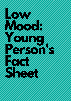# **Low Mood: Young Person's** Factory of the Content Sheet and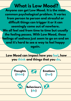# **What is Low Mood?**

**Anyone can get Low Mood. It is the most common psychological problem. It varies from person to person and stressful or difficult things can trigger it or it can seemingly come out of nowhere. We all feel sad from time to time but usually the feeling passes. With Low Mood, these feelings of sadness just seem to go on and on and it's hard to see a way to feel happy**

**again.**

**Low Mood can impact how you feel, how you think and things that you do.**

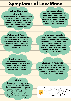# **Symptoms of Low Mood**

#### **Feeling Hopeless & Guilty**

**Feeling low for a long time can make us focus on the bad things in life, making us feel hopeless, sad, or like nothing is good. We might also feel guilty for thinking this way and more irritable than usual.**

#### **Concentration**

**Low Mood slows our bodies and brains down meaning we might struggle to concentrate or make decisions. We might also feel like we're 'clumsier' than normal or might forget things easily.**

#### **Aches and Pains**

**Low mood and pain share nerve pathways in the spinal cord and also share chemicals in the brain. This means we might feel aches and pains in our muscles due to feeling low.**

#### **Negative Thoughts**

**Feeling low is linked to negative thinking for example, you might think that nothing is good, that you don't want to be here anymore, or you might have thoughts about hurting yourself. These are really upsetting thoughts but are a very common symptom of low mood.**

#### **Lack of Energy**

**Low mood drains our bodies of energy, making us feel tired and drained. This might mean we feel too tired to do the things we'd usually want to do.**

#### **Change in Appetite**

**Cortisol (our stress hormone) is released by the brain when we feel low - this might mean we don't feel hungry. Or, we might also comfort eat and eat more than usual.**

#### **Sleep**

**Changes to our hormones can make it difficult to get to sleep. Equally, negative thoughts could also stop you getting to sleep. You might also notice you're sleeping more or sleeping through the day because you don't have much energy.**



**Understanding your symptoms of low mood is the first step to getting better. Remember, though these symtoms are upsetting, they are a NORMAL reaction.**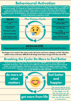# **Behavioural Activation**

**Behavioural Activation is an intervention used to help people who are struggling with low mood. It is based on Cognitive Behavioural Therapy (CBT) and there is lots of evidence and research that shows it works! The main idea behind Behavioural Activation is that, when low in mood, we get stuck in a vicious negative cycle. To feel better, we therefore need to change something in the cycle so that it becomes a positive cycle.**



#### **get less out of life**

**Stop getting enjoyment from life, stop feeling any sense of achievement and feel isolated from others.**

**The longer we're stuck in the vicious cycle, the lower and more unhappy we feel. This then makes it more and more difficult to do things and means we get even less out of life.**

## **Breaking the Cycle: Do More to Feel Better**

**A proven way to break this cycle is to start DOING more meaningful and enjoyable activities. This can be very difficult at first but we know that activity helps us to feel happier, distracts us from negative thoughts, makes us feel more motivated, improves our concentration, and makes us feel less tired. This is why we say DO MORE TO FEEL BETTER!**

**get more from life**

**do more of what matters**

## **feel better and happier**

This can be hard to do at first, but the more you do it, the happier you will feel, the closer you will feel to others and the more you will feel a sense of achievement.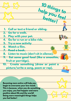

**Becoming more active will help you begin to overcome your low mood. This is because, when you do something you enjoy, you feel happier and more positive about life and the world! Doing more meaningful things helps you feel better!**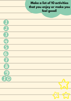# **Make a list of 10 activities that you enjoy or make you feel good!**

| $\boxed{1}$             |  |
|-------------------------|--|
| 2                       |  |
| $\overline{\mathbf{3}}$ |  |
| $\bigoplus$             |  |
| $\overline{\mathbf{G}}$ |  |
| $\overline{6}$          |  |
| 7                       |  |
| 8                       |  |
| $\bullet$               |  |
| 10                      |  |
|                         |  |
|                         |  |
|                         |  |